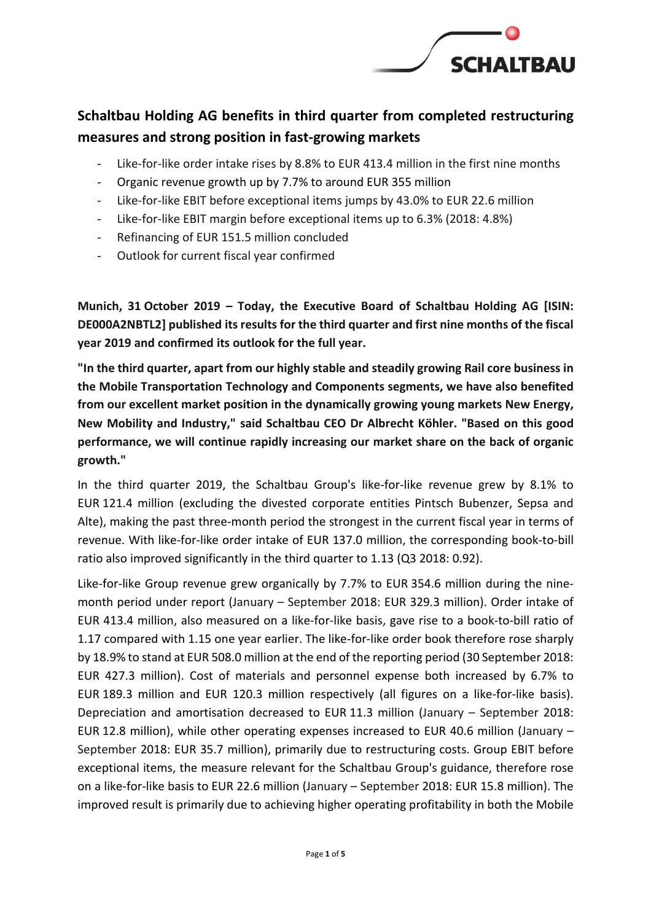

# **Schaltbau Holding AG benefits in third quarter from completed restructuring measures and strong position in fast-growing markets**

- Like-for-like order intake rises by 8.8% to EUR 413.4 million in the first nine months
- Organic revenue growth up by 7.7% to around EUR 355 million
- Like-for-like EBIT before exceptional items jumps by 43.0% to EUR 22.6 million
- Like-for-like EBIT margin before exceptional items up to 6.3% (2018: 4.8%)
- Refinancing of EUR 151.5 million concluded
- Outlook for current fiscal year confirmed

**Munich, 31 October 2019 – Today, the Executive Board of Schaltbau Holding AG [ISIN: DE000A2NBTL2] published its results for the third quarter and first nine months of the fiscal year 2019 and confirmed its outlook for the full year.**

**"In the third quarter, apart from our highly stable and steadily growing Rail core business in the Mobile Transportation Technology and Components segments, we have also benefited from our excellent market position in the dynamically growing young markets New Energy, New Mobility and Industry," said Schaltbau CEO Dr Albrecht Köhler. "Based on this good performance, we will continue rapidly increasing our market share on the back of organic growth."**

In the third quarter 2019, the Schaltbau Group's like-for-like revenue grew by 8.1% to EUR 121.4 million (excluding the divested corporate entities Pintsch Bubenzer, Sepsa and Alte), making the past three-month period the strongest in the current fiscal year in terms of revenue. With like-for-like order intake of EUR 137.0 million, the corresponding book-to-bill ratio also improved significantly in the third quarter to 1.13 (Q3 2018: 0.92).

Like-for-like Group revenue grew organically by 7.7% to EUR 354.6 million during the ninemonth period under report (January – September 2018: EUR 329.3 million). Order intake of EUR 413.4 million, also measured on a like-for-like basis, gave rise to a book-to-bill ratio of 1.17 compared with 1.15 one year earlier. The like-for-like order book therefore rose sharply by 18.9% to stand at EUR 508.0 million at the end of the reporting period (30 September 2018: EUR 427.3 million). Cost of materials and personnel expense both increased by 6.7% to EUR 189.3 million and EUR 120.3 million respectively (all figures on a like-for-like basis). Depreciation and amortisation decreased to EUR 11.3 million (January – September 2018: EUR 12.8 million), while other operating expenses increased to EUR 40.6 million (January – September 2018: EUR 35.7 million), primarily due to restructuring costs. Group EBIT before exceptional items, the measure relevant for the Schaltbau Group's guidance, therefore rose on a like-for-like basis to EUR 22.6 million (January – September 2018: EUR 15.8 million). The improved result is primarily due to achieving higher operating profitability in both the Mobile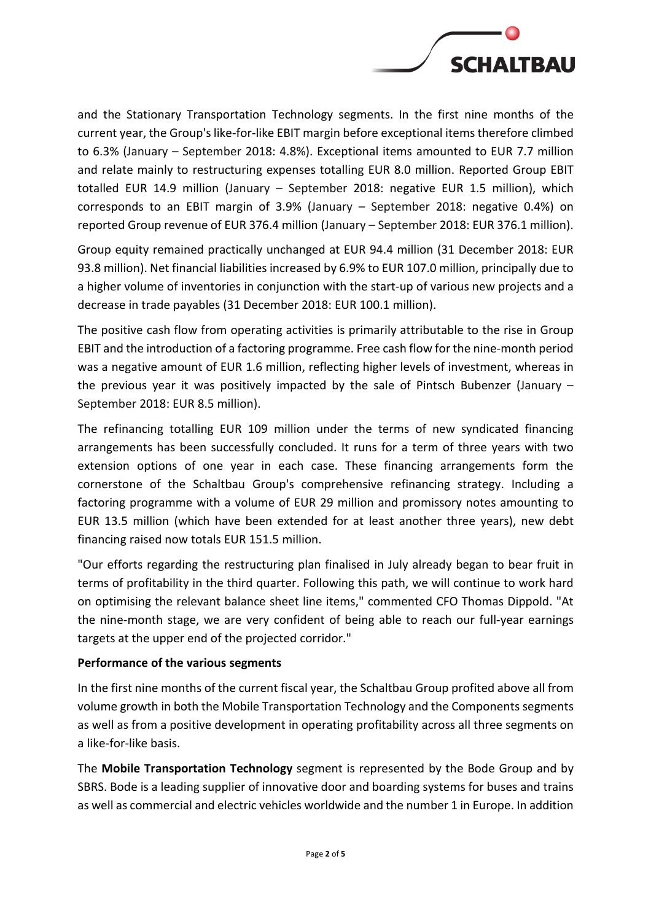

and the Stationary Transportation Technology segments. In the first nine months of the current year, the Group's like-for-like EBIT margin before exceptional items therefore climbed to 6.3% (January – September 2018: 4.8%). Exceptional items amounted to EUR 7.7 million and relate mainly to restructuring expenses totalling EUR 8.0 million. Reported Group EBIT totalled EUR 14.9 million (January – September 2018: negative EUR 1.5 million), which corresponds to an EBIT margin of 3.9% (January – September 2018: negative 0.4%) on reported Group revenue of EUR 376.4 million (January – September 2018: EUR 376.1 million).

Group equity remained practically unchanged at EUR 94.4 million (31 December 2018: EUR 93.8 million). Net financial liabilities increased by 6.9% to EUR 107.0 million, principally due to a higher volume of inventories in conjunction with the start-up of various new projects and a decrease in trade payables (31 December 2018: EUR 100.1 million).

The positive cash flow from operating activities is primarily attributable to the rise in Group EBIT and the introduction of a factoring programme. Free cash flow for the nine-month period was a negative amount of EUR 1.6 million, reflecting higher levels of investment, whereas in the previous year it was positively impacted by the sale of Pintsch Bubenzer (January – September 2018: EUR 8.5 million).

The refinancing totalling EUR 109 million under the terms of new syndicated financing arrangements has been successfully concluded. It runs for a term of three years with two extension options of one year in each case. These financing arrangements form the cornerstone of the Schaltbau Group's comprehensive refinancing strategy. Including a factoring programme with a volume of EUR 29 million and promissory notes amounting to EUR 13.5 million (which have been extended for at least another three years), new debt financing raised now totals EUR 151.5 million.

"Our efforts regarding the restructuring plan finalised in July already began to bear fruit in terms of profitability in the third quarter. Following this path, we will continue to work hard on optimising the relevant balance sheet line items," commented CFO Thomas Dippold. "At the nine-month stage, we are very confident of being able to reach our full-year earnings targets at the upper end of the projected corridor."

## **Performance of the various segments**

In the first nine months of the current fiscal year, the Schaltbau Group profited above all from volume growth in both the Mobile Transportation Technology and the Components segments as well as from a positive development in operating profitability across all three segments on a like-for-like basis.

The **Mobile Transportation Technology** segment is represented by the Bode Group and by SBRS. Bode is a leading supplier of innovative door and boarding systems for buses and trains as well as commercial and electric vehicles worldwide and the number 1 in Europe. In addition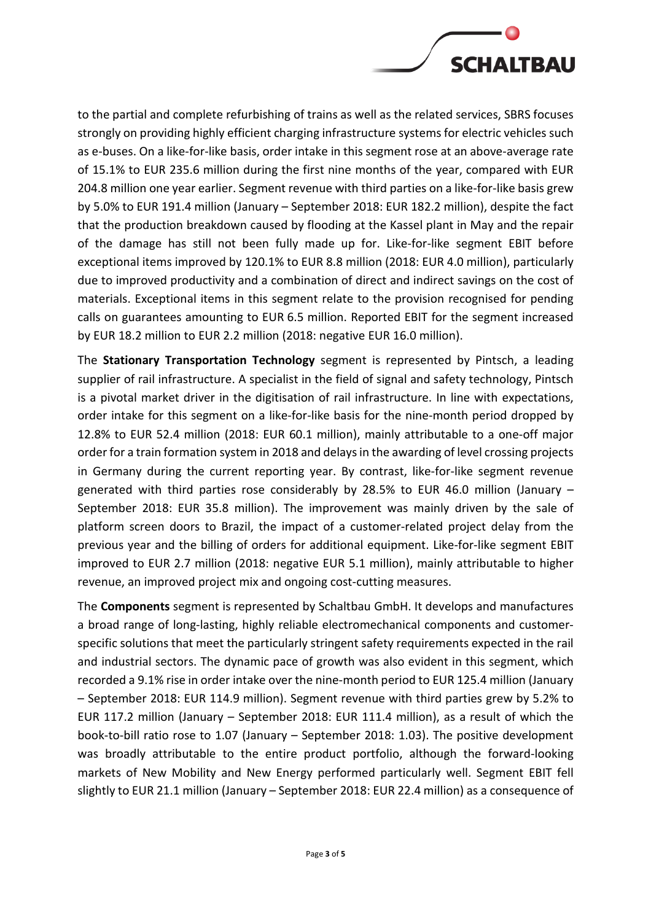

to the partial and complete refurbishing of trains as well as the related services, SBRS focuses strongly on providing highly efficient charging infrastructure systems for electric vehicles such as e-buses. On a like-for-like basis, order intake in this segment rose at an above-average rate of 15.1% to EUR 235.6 million during the first nine months of the year, compared with EUR 204.8 million one year earlier. Segment revenue with third parties on a like-for-like basis grew by 5.0% to EUR 191.4 million (January – September 2018: EUR 182.2 million), despite the fact that the production breakdown caused by flooding at the Kassel plant in May and the repair of the damage has still not been fully made up for. Like-for-like segment EBIT before exceptional items improved by 120.1% to EUR 8.8 million (2018: EUR 4.0 million), particularly due to improved productivity and a combination of direct and indirect savings on the cost of materials. Exceptional items in this segment relate to the provision recognised for pending calls on guarantees amounting to EUR 6.5 million. Reported EBIT for the segment increased by EUR 18.2 million to EUR 2.2 million (2018: negative EUR 16.0 million).

The **Stationary Transportation Technology** segment is represented by Pintsch, a leading supplier of rail infrastructure. A specialist in the field of signal and safety technology, Pintsch is a pivotal market driver in the digitisation of rail infrastructure. In line with expectations, order intake for this segment on a like-for-like basis for the nine-month period dropped by 12.8% to EUR 52.4 million (2018: EUR 60.1 million), mainly attributable to a one-off major order for a train formation system in 2018 and delays in the awarding of level crossing projects in Germany during the current reporting year. By contrast, like-for-like segment revenue generated with third parties rose considerably by 28.5% to EUR 46.0 million (January – September 2018: EUR 35.8 million). The improvement was mainly driven by the sale of platform screen doors to Brazil, the impact of a customer-related project delay from the previous year and the billing of orders for additional equipment. Like-for-like segment EBIT improved to EUR 2.7 million (2018: negative EUR 5.1 million), mainly attributable to higher revenue, an improved project mix and ongoing cost-cutting measures.

The **Components** segment is represented by Schaltbau GmbH. It develops and manufactures a broad range of long-lasting, highly reliable electromechanical components and customerspecific solutions that meet the particularly stringent safety requirements expected in the rail and industrial sectors. The dynamic pace of growth was also evident in this segment, which recorded a 9.1% rise in order intake over the nine-month period to EUR 125.4 million (January – September 2018: EUR 114.9 million). Segment revenue with third parties grew by 5.2% to EUR 117.2 million (January – September 2018: EUR 111.4 million), as a result of which the book-to-bill ratio rose to 1.07 (January – September 2018: 1.03). The positive development was broadly attributable to the entire product portfolio, although the forward-looking markets of New Mobility and New Energy performed particularly well. Segment EBIT fell slightly to EUR 21.1 million (January – September 2018: EUR 22.4 million) as a consequence of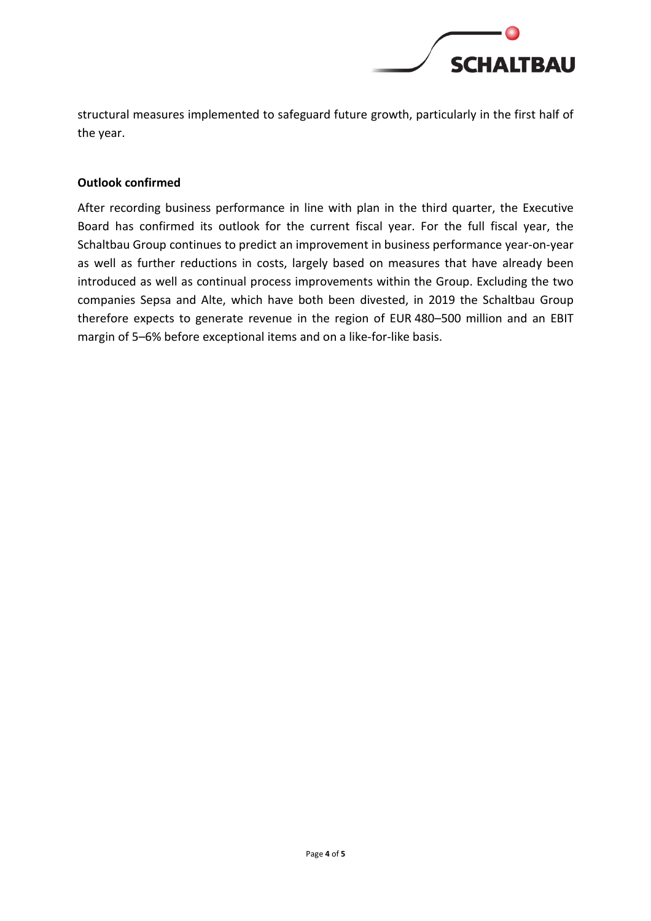

structural measures implemented to safeguard future growth, particularly in the first half of the year.

## **Outlook confirmed**

After recording business performance in line with plan in the third quarter, the Executive Board has confirmed its outlook for the current fiscal year. For the full fiscal year, the Schaltbau Group continues to predict an improvement in business performance year-on-year as well as further reductions in costs, largely based on measures that have already been introduced as well as continual process improvements within the Group. Excluding the two companies Sepsa and Alte, which have both been divested, in 2019 the Schaltbau Group therefore expects to generate revenue in the region of EUR 480–500 million and an EBIT margin of 5–6% before exceptional items and on a like-for-like basis.